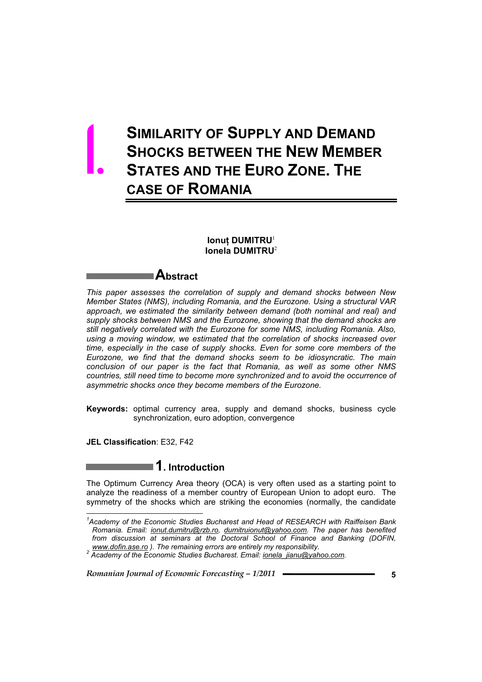# **SIMILARITY OF SUPPLY AND DEMAND SHOCKS BETWEEN THE NEW MEMBER STATES AND THE EURO ZONE. THE CASE OF ROMANIA** 1.

## $I$  **Louding** DUMITRU<sup>1</sup> **Ionela DUMITRU**<sup>2</sup>

## **Abstract**

*This paper assesses the correlation of supply and demand shocks between New Member States (NMS), including Romania, and the Eurozone. Using a structural VAR approach, we estimated the similarity between demand (both nominal and real) and supply shocks between NMS and the Eurozone, showing that the demand shocks are still negatively correlated with the Eurozone for some NMS, including Romania. Also, using a moving window, we estimated that the correlation of shocks increased over time, especially in the case of supply shocks. Even for some core members of the Eurozone, we find that the demand shocks seem to be idiosyncratic. The main conclusion of our paper is the fact that Romania, as well as some other NMS countries, still need time to become more synchronized and to avoid the occurrence of asymmetric shocks once they become members of the Eurozone.* 

**Keywords:** optimal currency area, supply and demand shocks, business cycle synchronization, euro adoption, convergence

**JEL Classification**: E32, F42

 $\overline{a}$ 

## **1. Introduction**

The Optimum Currency Area theory (OCA) is very often used as a starting point to analyze the readiness of a member country of European Union to adopt euro. The symmetry of the shocks which are striking the economies (normally, the candidate

*<sup>1</sup> Academy of the Economic Studies Bucharest and Head of RESEARCH with Raiffeisen Bank Romania. Email: ionut.dumitru@rzb.ro, dumitruionut@yahoo.com. The paper has benefited from discussion at seminars at the Doctoral School of Finance and Banking (DOFIN,* 

*www.dofin.ase.ro ). The remaining errors are entirely my responsibility. 2 Academy of the Economic Studies Bucharest. Email: ionela\_jianu@yahoo.com.*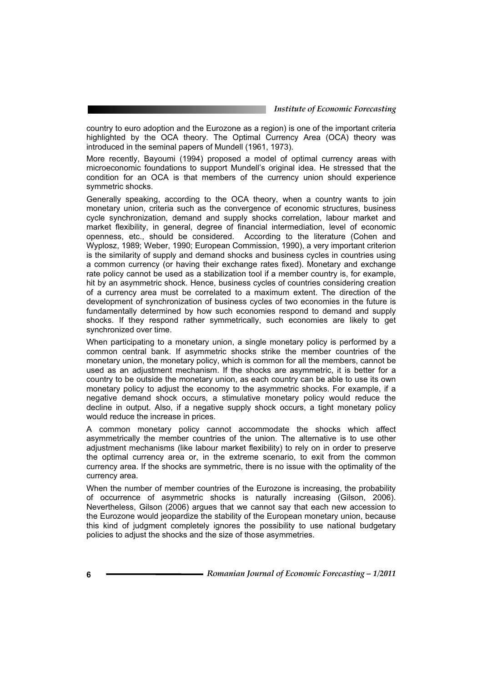country to euro adoption and the Eurozone as a region) is one of the important criteria highlighted by the OCA theory. The Optimal Currency Area (OCA) theory was introduced in the seminal papers of Mundell (1961, 1973).

More recently, Bayoumi (1994) proposed a model of optimal currency areas with microeconomic foundations to support Mundell's original idea. He stressed that the condition for an OCA is that members of the currency union should experience symmetric shocks.

Generally speaking, according to the OCA theory, when a country wants to join monetary union, criteria such as the convergence of economic structures, business cycle synchronization, demand and supply shocks correlation, labour market and market flexibility, in general, degree of financial intermediation, level of economic openness, etc., should be considered. According to the literature (Cohen and Wyplosz, 1989; Weber, 1990; European Commission, 1990), a very important criterion is the similarity of supply and demand shocks and business cycles in countries using a common currency (or having their exchange rates fixed). Monetary and exchange rate policy cannot be used as a stabilization tool if a member country is, for example, hit by an asymmetric shock. Hence, business cycles of countries considering creation of a currency area must be correlated to a maximum extent. The direction of the development of synchronization of business cycles of two economies in the future is fundamentally determined by how such economies respond to demand and supply shocks. If they respond rather symmetrically, such economies are likely to get synchronized over time.

When participating to a monetary union, a single monetary policy is performed by a common central bank. If asymmetric shocks strike the member countries of the monetary union, the monetary policy, which is common for all the members, cannot be used as an adjustment mechanism. If the shocks are asymmetric, it is better for a country to be outside the monetary union, as each country can be able to use its own monetary policy to adjust the economy to the asymmetric shocks. For example, if a negative demand shock occurs, a stimulative monetary policy would reduce the decline in output. Also, if a negative supply shock occurs, a tight monetary policy would reduce the increase in prices.

A common monetary policy cannot accommodate the shocks which affect asymmetrically the member countries of the union. The alternative is to use other adjustment mechanisms (like labour market flexibility) to rely on in order to preserve the optimal currency area or, in the extreme scenario, to exit from the common currency area. If the shocks are symmetric, there is no issue with the optimality of the currency area.

When the number of member countries of the Eurozone is increasing, the probability of occurrence of asymmetric shocks is naturally increasing (Gilson, 2006). Nevertheless, Gilson (2006) argues that we cannot say that each new accession to the Eurozone would jeopardize the stability of the European monetary union, because this kind of judgment completely ignores the possibility to use national budgetary policies to adjust the shocks and the size of those asymmetries.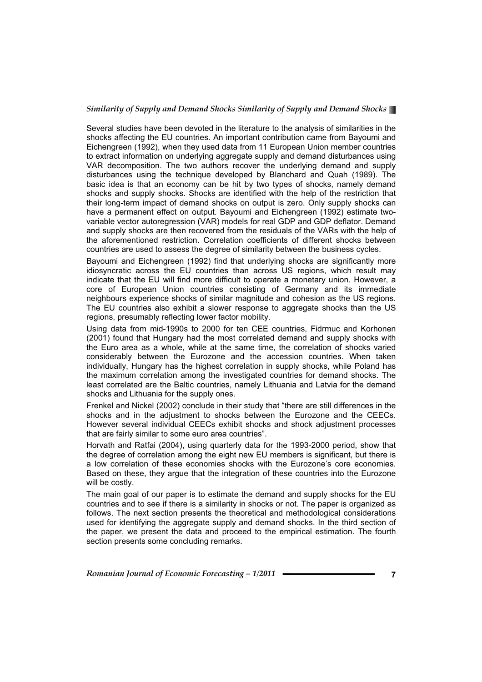Several studies have been devoted in the literature to the analysis of similarities in the shocks affecting the EU countries. An important contribution came from Bayoumi and Eichengreen (1992), when they used data from 11 European Union member countries to extract information on underlying aggregate supply and demand disturbances using VAR decomposition. The two authors recover the underlying demand and supply disturbances using the technique developed by Blanchard and Quah (1989). The basic idea is that an economy can be hit by two types of shocks, namely demand shocks and supply shocks. Shocks are identified with the help of the restriction that their long-term impact of demand shocks on output is zero. Only supply shocks can have a permanent effect on output. Bayoumi and Eichengreen (1992) estimate twovariable vector autoregression (VAR) models for real GDP and GDP deflator. Demand and supply shocks are then recovered from the residuals of the VARs with the help of the aforementioned restriction. Correlation coefficients of different shocks between countries are used to assess the degree of similarity between the business cycles.

Bayoumi and Eichengreen (1992) find that underlying shocks are significantly more idiosyncratic across the EU countries than across US regions, which result may indicate that the EU will find more difficult to operate a monetary union. However, a core of European Union countries consisting of Germany and its immediate neighbours experience shocks of similar magnitude and cohesion as the US regions. The EU countries also exhibit a slower response to aggregate shocks than the US regions, presumably reflecting lower factor mobility.

Using data from mid-1990s to 2000 for ten CEE countries, Fidrmuc and Korhonen (2001) found that Hungary had the most correlated demand and supply shocks with the Euro area as a whole, while at the same time, the correlation of shocks varied considerably between the Eurozone and the accession countries. When taken individually, Hungary has the highest correlation in supply shocks, while Poland has the maximum correlation among the investigated countries for demand shocks. The least correlated are the Baltic countries, namely Lithuania and Latvia for the demand shocks and Lithuania for the supply ones.

Frenkel and Nickel (2002) conclude in their study that "there are still differences in the shocks and in the adjustment to shocks between the Eurozone and the CEECs. However several individual CEECs exhibit shocks and shock adjustment processes that are fairly similar to some euro area countries".

Horvath and Ratfai (2004), using quarterly data for the 1993-2000 period, show that the degree of correlation among the eight new EU members is significant, but there is a low correlation of these economies shocks with the Eurozone's core economies. Based on these, they argue that the integration of these countries into the Eurozone will be costly.

The main goal of our paper is to estimate the demand and supply shocks for the EU countries and to see if there is a similarity in shocks or not. The paper is organized as follows. The next section presents the theoretical and methodological considerations used for identifying the aggregate supply and demand shocks. In the third section of the paper, we present the data and proceed to the empirical estimation. The fourth section presents some concluding remarks.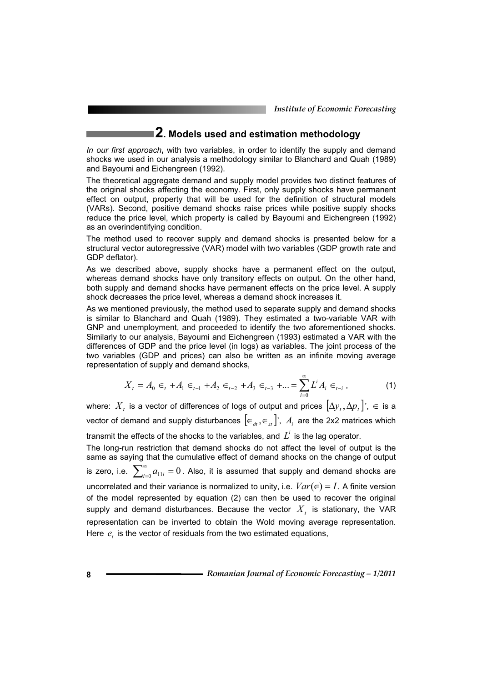*Institute of Economic Forecasting*

## **2. Models used and estimation methodology**

*In our first approach***,** with two variables, in order to identify the supply and demand shocks we used in our analysis a methodology similar to Blanchard and Quah (1989) and Bayoumi and Eichengreen (1992).

The theoretical aggregate demand and supply model provides two distinct features of the original shocks affecting the economy. First, only supply shocks have permanent effect on output, property that will be used for the definition of structural models (VARs). Second, positive demand shocks raise prices while positive supply shocks reduce the price level, which property is called by Bayoumi and Eichengreen (1992) as an overindentifying condition.

The method used to recover supply and demand shocks is presented below for a structural vector autoregressive (VAR) model with two variables (GDP growth rate and GDP deflator).

As we described above, supply shocks have a permanent effect on the output, whereas demand shocks have only transitory effects on output. On the other hand, both supply and demand shocks have permanent effects on the price level. A supply shock decreases the price level, whereas a demand shock increases it.

As we mentioned previously, the method used to separate supply and demand shocks is similar to Blanchard and Quah (1989). They estimated a two-variable VAR with GNP and unemployment, and proceeded to identify the two aforementioned shocks. Similarly to our analysis, Bayoumi and Eichengreen (1993) estimated a VAR with the differences of GDP and the price level (in logs) as variables. The joint process of the two variables (GDP and prices) can also be written as an infinite moving average representation of supply and demand shocks,

$$
X_{t} = A_{0} \in {}_{t} + A_{1} \in {}_{t-1} + A_{2} \in {}_{t-2} + A_{3} \in {}_{t-3} + ... = \sum_{i=0}^{\infty} L^{i} A_{i} \in {}_{t-i} ,
$$
 (1)

where:  $X_t$  is a vector of differences of logs of output and prices  $[\Delta y_t, \Delta p_t]$ <sup>'</sup>,  $\in$  is a vector of demand and supply disturbances  $[\epsilon_{dt}, \epsilon_{st}]$ ,  $A_i$  are the 2x2 matrices which

transmit the effects of the shocks to the variables, and  $L<sup>i</sup>$  is the lag operator.

The long-run restriction that demand shocks do not affect the level of output is the same as saying that the cumulative effect of demand shocks on the change of output is zero, i.e.  $\sum_{i=0}^{\infty}a_{11i}=0$  . Also, it is assumed that supply and demand shocks are uncorrelated and their variance is normalized to unity, i.e.  $Var(\epsilon) = I$ . A finite version of the model represented by equation (2) can then be used to recover the original supply and demand disturbances. Because the vector  $X_t$  is stationary, the VAR representation can be inverted to obtain the Wold moving average representation. Here  $e_t$  is the vector of residuals from the two estimated equations,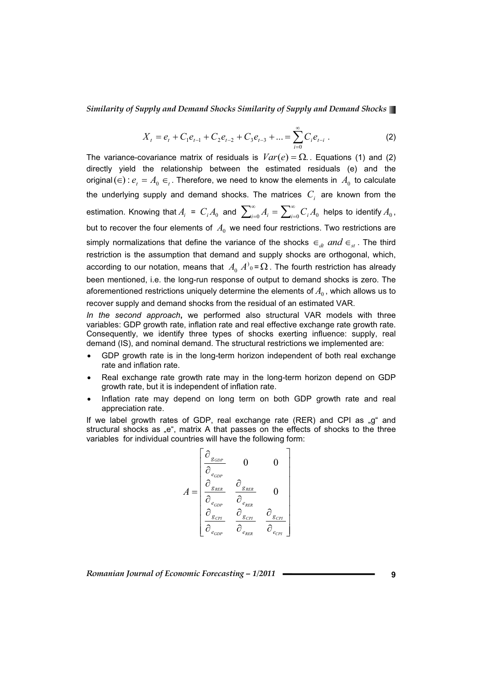$$
X_{t} = e_{t} + C_{1}e_{t-1} + C_{2}e_{t-2} + C_{3}e_{t-3} + \dots = \sum_{i=0}^{\infty} C_{i}e_{t-i} .
$$
 (2)

The variance-covariance matrix of residuals is  $Var(e) = \Omega$ . Equations (1) and (2) directly yield the relationship between the estimated residuals (e) and the original ( $\in$ ) :  $e_t = A_0 \in I$ . Therefore, we need to know the elements in  $A_0$  to calculate the underlying supply and demand shocks. The matrices  $C_i$  are known from the estimation. Knowing that  $A_i$  =  $C_i A_0$  and  $\sum_{i=0}^{\infty} A_i = \sum_{i=0}^{\infty} C_i A_0$  helps to identify  $A_0$ , but to recover the four elements of  $A_0$  we need four restrictions. Two restrictions are simply normalizations that define the variance of the shocks  $\epsilon_{dt}$  and  $\epsilon_{st}$ . The third restriction is the assumption that demand and supply shocks are orthogonal, which, according to our notation, means that  $\overline A_0 \, A^0{}_0$  =  $\overline\Omega$  . The fourth restriction has already been mentioned, i.e. the long-run response of output to demand shocks is zero. The aforementioned restrictions uniquely determine the elements of  $A_0$ , which allows us to recover supply and demand shocks from the residual of an estimated VAR.

*In the second approach***,** we performed also structural VAR models with three variables: GDP growth rate, inflation rate and real effective exchange rate growth rate. Consequently, we identify three types of shocks exerting influence: supply, real demand (IS), and nominal demand. The structural restrictions we implemented are:

- GDP growth rate is in the long-term horizon independent of both real exchange rate and inflation rate.
- Real exchange rate growth rate may in the long-term horizon depend on GDP growth rate, but it is independent of inflation rate.
- Inflation rate may depend on long term on both GDP growth rate and real appreciation rate.

If we label growth rates of GDP, real exchange rate (RER) and CPI as  $_{n}q^{n}$  and structural shocks as "e", matrix A that passes on the effects of shocks to the three variables for individual countries will have the following form:

$$
A = \begin{bmatrix} \frac{\partial_{g_{GDP}}}{\partial_{e_{GDP}}} & 0 & 0\\ \frac{\partial_{g_{RER}}}{\partial_{e_{GDP}}} & \frac{\partial_{g_{RER}}}{\partial_{e_{RER}}} & 0\\ \frac{\partial_{g_{CPI}}}{\partial_{e_{GDP}}} & \frac{\partial_{g_{CPI}}}{\partial_{e_{RER}}} & \frac{\partial_{g_{CPI}}}{\partial_{e_{CPI}}} \end{bmatrix}
$$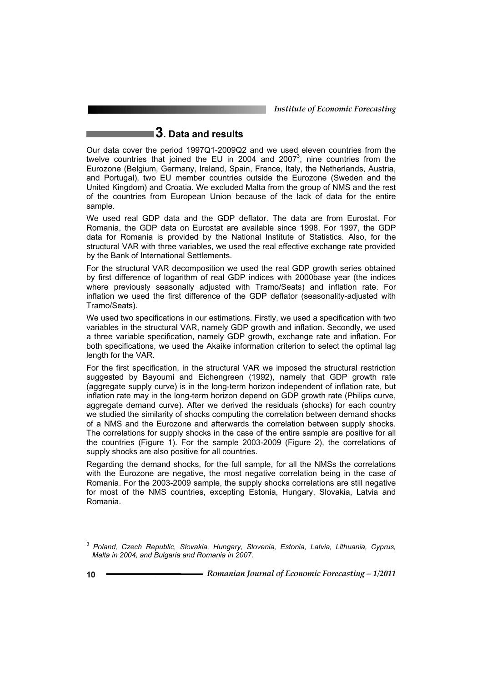*Institute of Economic Forecasting*

## **3. Data and results**

Our data cover the period 1997Q1-2009Q2 and we used eleven countries from the twelve countries that joined the EU in 2004 and 2007<sup>3</sup>, nine countries from the Eurozone (Belgium, Germany, Ireland, Spain, France, Italy, the Netherlands, Austria, and Portugal), two EU member countries outside the Eurozone (Sweden and the United Kingdom) and Croatia. We excluded Malta from the group of NMS and the rest of the countries from European Union because of the lack of data for the entire sample.

We used real GDP data and the GDP deflator. The data are from Eurostat. For Romania, the GDP data on Eurostat are available since 1998. For 1997, the GDP data for Romania is provided by the National Institute of Statistics. Also, for the structural VAR with three variables, we used the real effective exchange rate provided by the Bank of International Settlements.

For the structural VAR decomposition we used the real GDP growth series obtained by first difference of logarithm of real GDP indices with 2000base year (the indices where previously seasonally adjusted with Tramo/Seats) and inflation rate. For inflation we used the first difference of the GDP deflator (seasonality-adjusted with Tramo/Seats).

We used two specifications in our estimations. Firstly, we used a specification with two variables in the structural VAR, namely GDP growth and inflation. Secondly, we used a three variable specification, namely GDP growth, exchange rate and inflation. For both specifications, we used the Akaike information criterion to select the optimal lag length for the VAR.

For the first specification, in the structural VAR we imposed the structural restriction suggested by Bayoumi and Eichengreen (1992), namely that GDP growth rate (aggregate supply curve) is in the long-term horizon independent of inflation rate, but inflation rate may in the long-term horizon depend on GDP growth rate (Philips curve, aggregate demand curve). After we derived the residuals (shocks) for each country we studied the similarity of shocks computing the correlation between demand shocks of a NMS and the Eurozone and afterwards the correlation between supply shocks. The correlations for supply shocks in the case of the entire sample are positive for all the countries (Figure 1). For the sample 2003-2009 (Figure 2), the correlations of supply shocks are also positive for all countries.

Regarding the demand shocks, for the full sample, for all the NMSs the correlations with the Eurozone are negative, the most negative correlation being in the case of Romania. For the 2003-2009 sample, the supply shocks correlations are still negative for most of the NMS countries, excepting Estonia, Hungary, Slovakia, Latvia and Romania.

 $\overline{a}$ 

*<sup>3</sup> Poland, Czech Republic, Slovakia, Hungary, Slovenia, Estonia, Latvia, Lithuania, Cyprus, Malta in 2004, and Bulgaria and Romania in 2007.*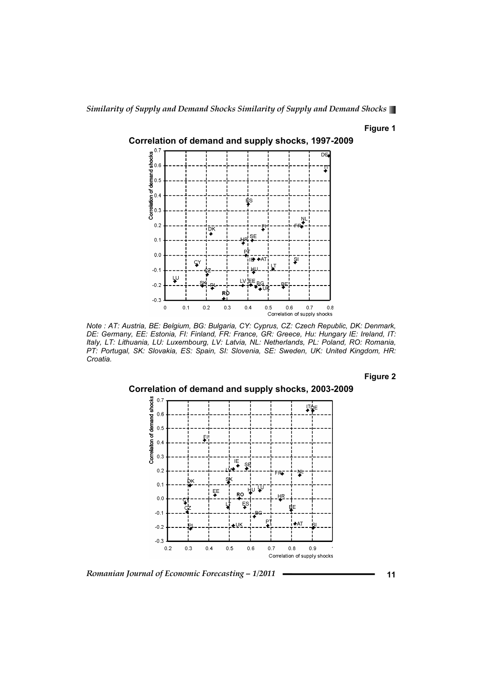### **Figure 1**



*Note : AT: Austria, BE: Belgium, BG: Bulgaria, CY: Cyprus, CZ: Czech Republic, DK: Denmark, DE: Germany, EE: Estonia, FI: Finland, FR: France, GR: Greece, Hu: Hungary IE: Ireland, IT: Italy, LT: Lithuania, LU: Luxembourg, LV: Latvia, NL: Netherlands, PL: Poland, RO: Romania, PT: Portugal, SK: Slovakia, ES: Spain, SI: Slovenia, SE: Sweden, UK: United Kingdom, HR: Croatia.*

**Figure 2** 



*Romanian Journal of Economic Forecasting – 1/2011* **11**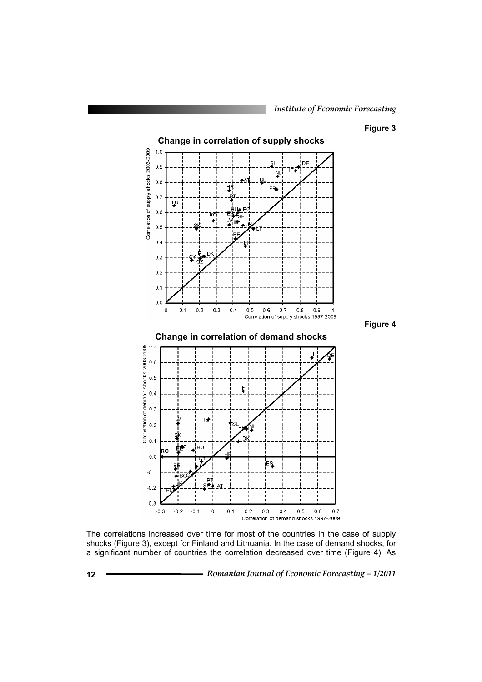### **Figure 3**

**Figure 4** 



The correlations increased over time for most of the countries in the case of supply shocks (Figure 3), except for Finland and Lithuania. In the case of demand shocks, for a significant number of countries the correlation decreased over time (Figure 4). As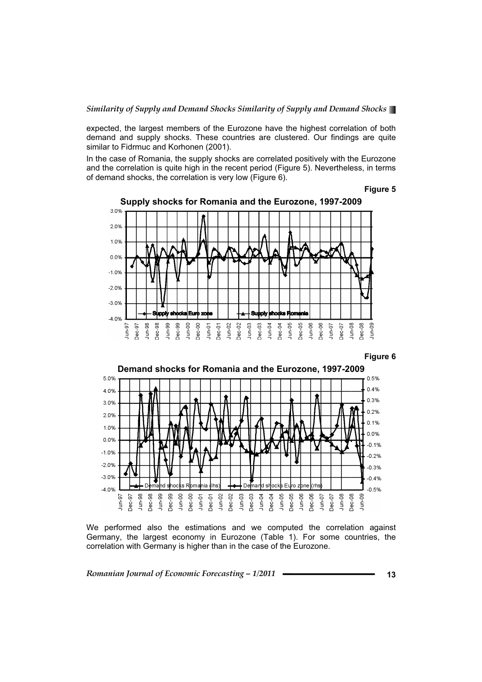expected, the largest members of the Eurozone have the highest correlation of both demand and supply shocks. These countries are clustered. Our findings are quite similar to Fidrmuc and Korhonen (2001).

In the case of Romania, the supply shocks are correlated positively with the Eurozone and the correlation is quite high in the recent period (Figure 5). Nevertheless, in terms of demand shocks, the correlation is very low (Figure 6).





**Supply shocks for Romania and the Eurozone, 1997-2009** 





We performed also the estimations and we computed the correlation against Germany, the largest economy in Eurozone (Table 1). For some countries, the correlation with Germany is higher than in the case of the Eurozone.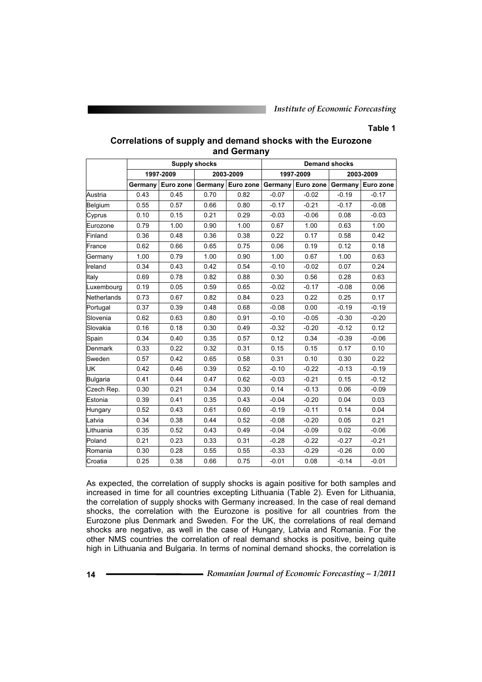### **Table 1**

|             | <b>Supply shocks</b><br><b>Demand shocks</b> |           |           |                   |         |                                           |           |         |  |  |
|-------------|----------------------------------------------|-----------|-----------|-------------------|---------|-------------------------------------------|-----------|---------|--|--|
|             | 1997-2009                                    |           | 2003-2009 |                   |         | 1997-2009                                 | 2003-2009 |         |  |  |
|             | Germany                                      | Euro zone |           | Germany Euro zone |         | Germany   Euro zone   Germany   Euro zone |           |         |  |  |
| Austria     | 0.43                                         | 0.45      | 0.70      | 0.82              | $-0.07$ | $-0.02$                                   | $-0.19$   | $-0.17$ |  |  |
| Belgium     | 0.55                                         | 0.57      | 0.66      | 0.80              | $-0.17$ | $-0.21$                                   | $-0.17$   | $-0.08$ |  |  |
| Cyprus      | 0.10                                         | 0.15      | 0.21      | 0.29              | $-0.03$ | $-0.06$                                   | 0.08      | $-0.03$ |  |  |
| Eurozone    | 0.79                                         | 1.00      | 0.90      | 1.00              | 0.67    | 1.00                                      | 0.63      | 1.00    |  |  |
| Finland     | 0.36                                         | 0.48      | 0.36      | 0.38              | 0.22    | 0.17                                      | 0.58      | 0.42    |  |  |
| France      | 0.62                                         | 0.66      | 0.65      | 0.75              | 0.06    | 0.19                                      | 0.12      | 0.18    |  |  |
| Germany     | 1.00                                         | 0.79      | 1.00      | 0.90              | 1.00    | 0.67                                      | 1.00      | 0.63    |  |  |
| Ireland     | 0.34                                         | 0.43      | 0.42      | 0.54              | $-0.10$ | $-0.02$                                   | 0.07      | 0.24    |  |  |
| Italy       | 0.69                                         | 0.78      | 0.82      | 0.88              | 0.30    | 0.56                                      | 0.28      | 0.63    |  |  |
| Luxembourg  | 0.19                                         | 0.05      | 0.59      | 0.65              | $-0.02$ | $-0.17$                                   | $-0.08$   | 0.06    |  |  |
| Netherlands | 0.73                                         | 0.67      | 0.82      | 0.84              | 0.23    | 0.22                                      | 0.25      | 0.17    |  |  |
| Portugal    | 0.37                                         | 0.39      | 0.48      | 0.68              | $-0.08$ | 0.00                                      | $-0.19$   | $-0.19$ |  |  |
| Slovenia    | 0.62                                         | 0.63      | 0.80      | 0.91              | $-0.10$ | $-0.05$                                   | $-0.30$   | $-0.20$ |  |  |
| Slovakia    | 0.16                                         | 0.18      | 0.30      | 0.49              | $-0.32$ | $-0.20$                                   | $-0.12$   | 0.12    |  |  |
| Spain       | 0.34                                         | 0.40      | 0.35      | 0.57              | 0.12    | 0.34                                      | $-0.39$   | $-0.06$ |  |  |
| Denmark     | 0.33                                         | 0.22      | 0.32      | 0.31              | 0.15    | 0.15                                      | 0.17      | 0.10    |  |  |
| Sweden      | 0.57                                         | 0.42      | 0.65      | 0.58              | 0.31    | 0.10                                      | 0.30      | 0.22    |  |  |
| UК          | 0.42                                         | 0.46      | 0.39      | 0.52              | $-0.10$ | $-0.22$                                   | $-0.13$   | $-0.19$ |  |  |
| Bulgaria    | 0.41                                         | 0.44      | 0.47      | 0.62              | $-0.03$ | $-0.21$                                   | 0.15      | $-0.12$ |  |  |
| Czech Rep.  | 0.30                                         | 0.21      | 0.34      | 0.30              | 0.14    | $-0.13$                                   | 0.06      | $-0.09$ |  |  |
| Estonia     | 0.39                                         | 0.41      | 0.35      | 0.43              | $-0.04$ | $-0.20$                                   | 0.04      | 0.03    |  |  |
| Hungary     | 0.52                                         | 0.43      | 0.61      | 0.60              | $-0.19$ | $-0.11$                                   | 0.14      | 0.04    |  |  |
| Latvia      | 0.34                                         | 0.38      | 0.44      | 0.52              | $-0.08$ | $-0.20$                                   | 0.05      | 0.21    |  |  |
| Lithuania   | 0.35                                         | 0.52      | 0.43      | 0.49              | $-0.04$ | $-0.09$                                   | 0.02      | $-0.06$ |  |  |
| Poland      | 0.21                                         | 0.23      | 0.33      | 0.31              | $-0.28$ | $-0.22$                                   | $-0.27$   | $-0.21$ |  |  |
| Romania     | 0.30                                         | 0.28      | 0.55      | 0.55              | $-0.33$ | $-0.29$                                   | $-0.26$   | 0.00    |  |  |
| Croatia     | 0.25                                         | 0.38      | 0.66      | 0.75              | $-0.01$ | 0.08                                      | $-0.14$   | $-0.01$ |  |  |

## **Correlations of supply and demand shocks with the Eurozone and Germany**

As expected, the correlation of supply shocks is again positive for both samples and increased in time for all countries excepting Lithuania (Table 2). Even for Lithuania, the correlation of supply shocks with Germany increased. In the case of real demand shocks, the correlation with the Eurozone is positive for all countries from the Eurozone plus Denmark and Sweden. For the UK, the correlations of real demand shocks are negative, as well in the case of Hungary, Latvia and Romania. For the other NMS countries the correlation of real demand shocks is positive, being quite high in Lithuania and Bulgaria. In terms of nominal demand shocks, the correlation is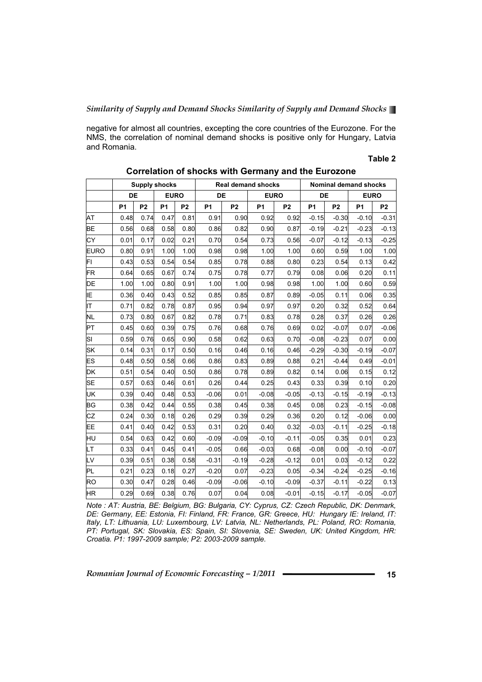negative for almost all countries, excepting the core countries of the Eurozone. For the NMS, the correlation of nominal demand shocks is positive only for Hungary, Latvia and Romania.

## **Table 2**

|             | <b>Supply shocks</b> |                |             |                |                | <b>Real demand shocks</b> | Nominal demand shocks |                |           |                |                |                |
|-------------|----------------------|----------------|-------------|----------------|----------------|---------------------------|-----------------------|----------------|-----------|----------------|----------------|----------------|
|             | DE                   |                | <b>EURO</b> |                | DE             |                           | <b>EURO</b>           |                | DE        |                | <b>EURO</b>    |                |
|             | <b>P1</b>            | P <sub>2</sub> | <b>P1</b>   | P <sub>2</sub> | P <sub>1</sub> | P <sub>2</sub>            | <b>P1</b>             | P <sub>2</sub> | <b>P1</b> | P <sub>2</sub> | P <sub>1</sub> | P <sub>2</sub> |
| AT          | 0.48                 | 0.74           | 0.47        | 0.81           | 0.91           | 0.90                      | 0.92                  | 0.92           | $-0.15$   | $-0.30$        | $-0.10$        | $-0.31$        |
| BE          | 0.56                 | 0.68           | 0.58        | 0.80           | 0.86           | 0.82                      | 0.90                  | 0.87           | $-0.19$   | $-0.21$        | $-0.23$        | $-0.13$        |
| СY          | 0.01                 | 0.17           | 0.02        | 0.21           | 0.70           | 0.54                      | 0.73                  | 0.56           | $-0.07$   | $-0.12$        | $-0.13$        | $-0.25$        |
| <b>EURO</b> | 0.80                 | 0.91           | 1.00        | 1.00           | 0.98           | 0.98                      | 1.00                  | 1.00           | 0.60      | 0.59           | 1.00           | 1.00           |
| FI          | 0.43                 | 0.53           | 0.54        | 0.54           | 0.85           | 0.78                      | 0.88                  | 0.80           | 0.23      | 0.54           | 0.13           | 0.42           |
| FR          | 0.64                 | 0.65           | 0.67        | 0.74           | 0.75           | 0.78                      | 0.77                  | 0.79           | 0.08      | 0.06           | 0.20           | 0.11           |
| DE          | 1.00                 | 1.00           | 0.80        | 0.91           | 1.00           | 1.00                      | 0.98                  | 0.98           | 1.00      | 1.00           | 0.60           | 0.59           |
| ļΙE         | 0.36                 | 0.40           | 0.43        | 0.52           | 0.85           | 0.85                      | 0.87                  | 0.89           | $-0.05$   | 0.11           | 0.06           | 0.35           |
| lΤ          | 0.71                 | 0.82           | 0.78        | 0.87           | 0.95           | 0.94                      | 0.97                  | 0.97           | 0.20      | 0.32           | 0.52           | 0.64           |
| NL          | 0.73                 | 0.80           | 0.67        | 0.82           | 0.78           | 0.71                      | 0.83                  | 0.78           | 0.28      | 0.37           | 0.26           | 0.26           |
| PТ          | 0.45                 | 0.60           | 0.39        | 0.75           | 0.76           | 0.68                      | 0.76                  | 0.69           | 0.02      | $-0.07$        | 0.07           | $-0.06$        |
| SΙ          | 0.59                 | 0.76           | 0.65        | 0.90           | 0.58           | 0.62                      | 0.63                  | 0.70           | $-0.08$   | $-0.23$        | 0.07           | 0.00           |
| SK          | 0.14                 | 0.31           | 0.17        | 0.50           | 0.16           | 0.46                      | 0.16                  | 0.46           | $-0.29$   | $-0.30$        | $-0.19$        | $-0.07$        |
| ES          | 0.48                 | 0.50           | 0.58        | 0.66           | 0.86           | 0.83                      | 0.89                  | 0.88           | 0.21      | $-0.44$        | 0.49           | $-0.01$        |
| DK          | 0.51                 | 0.54           | 0.40        | 0.50           | 0.86           | 0.78                      | 0.89                  | 0.82           | 0.14      | 0.06           | 0.15           | 0.12           |
| SE          | 0.57                 | 0.63           | 0.46        | 0.61           | 0.26           | 0.44                      | 0.25                  | 0.43           | 0.33      | 0.39           | 0.10           | 0.20           |
| UK          | 0.39                 | 0.40           | 0.48        | 0.53           | $-0.06$        | 0.01                      | $-0.08$               | $-0.05$        | $-0.13$   | $-0.15$        | $-0.19$        | $-0.13$        |
| <b>BG</b>   | 0.38                 | 0.42           | 0.44        | 0.55           | 0.38           | 0.45                      | 0.38                  | 0.45           | 0.08      | 0.23           | $-0.15$        | $-0.08$        |
| CZ          | 0.24                 | 0.30           | 0.18        | 0.26           | 0.29           | 0.39                      | 0.29                  | 0.36           | 0.20      | 0.12           | $-0.06$        | 0.00           |
| EE          | 0.41                 | 0.40           | 0.42        | 0.53           | 0.31           | 0.20                      | 0.40                  | 0.32           | $-0.03$   | $-0.11$        | $-0.25$        | $-0.18$        |
| Hυ          | 0.54                 | 0.63           | 0.42        | 0.60           | $-0.09$        | $-0.09$                   | $-0.10$               | $-0.11$        | $-0.05$   | 0.35           | 0.01           | 0.23           |
| LТ          | 0.33                 | 0.41           | 0.45        | 0.41           | $-0.05$        | 0.66                      | $-0.03$               | 0.68           | $-0.08$   | 0.00           | $-0.10$        | $-0.07$        |
| LV          | 0.39                 | 0.51           | 0.38        | 0.58           | $-0.31$        | $-0.19$                   | $-0.28$               | $-0.12$        | 0.01      | 0.03           | $-0.12$        | 0.22           |
| PL          | 0.21                 | 0.23           | 0.18        | 0.27           | $-0.20$        | 0.07                      | $-0.23$               | 0.05           | $-0.34$   | $-0.24$        | $-0.25$        | $-0.16$        |
| RO          | 0.30                 | 0.47           | 0.28        | 0.46           | $-0.09$        | $-0.06$                   | $-0.10$               | $-0.09$        | $-0.37$   | $-0.11$        | $-0.22$        | 0.13           |
| HR          | 0.29                 | 0.69           | 0.38        | 0.76           | 0.07           | 0.04                      | 0.08                  | $-0.01$        | $-0.15$   | $-0.17$        | $-0.05$        | $-0.07$        |

**Correlation of shocks with Germany and the Eurozone** 

*Note : AT: Austria, BE: Belgium, BG: Bulgaria, CY: Cyprus, CZ: Czech Republic, DK: Denmark, DE: Germany, EE: Estonia, FI: Finland, FR: France, GR: Greece, HU: Hungary IE: Ireland, IT: Italy, LT: Lithuania, LU: Luxembourg, LV: Latvia, NL: Netherlands, PL: Poland, RO: Romania, PT: Portugal, SK: Slovakia, ES: Spain, SI: Slovenia, SE: Sweden, UK: United Kingdom, HR: Croatia. P1: 1997-2009 sample; P2: 2003-2009 sample.*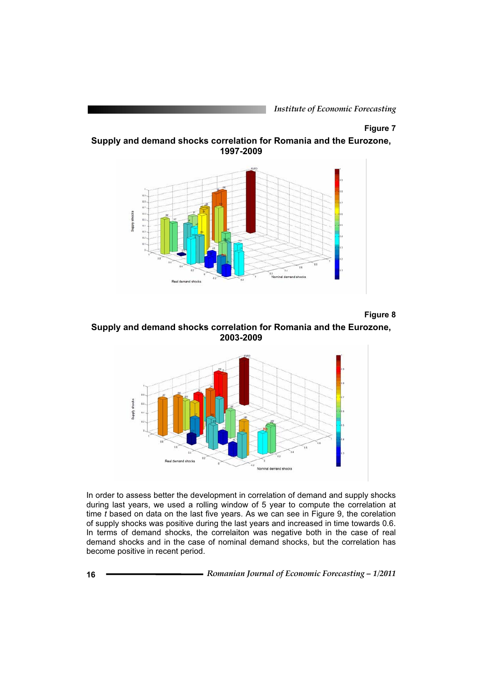*Institute of Economic Forecasting*

## **Figure 7**

**Supply and demand shocks correlation for Romania and the Eurozone, 1997-2009**



**Figure 8** 

**Supply and demand shocks correlation for Romania and the Eurozone, 2003-2009**



In order to assess better the development in correlation of demand and supply shocks during last years, we used a rolling window of 5 year to compute the correlation at time *t* based on data on the last five years. As we can see in Figure 9, the corelation of supply shocks was positive during the last years and increased in time towards 0.6. In terms of demand shocks, the correlaiton was negative both in the case of real demand shocks and in the case of nominal demand shocks, but the correlation has become positive in recent period.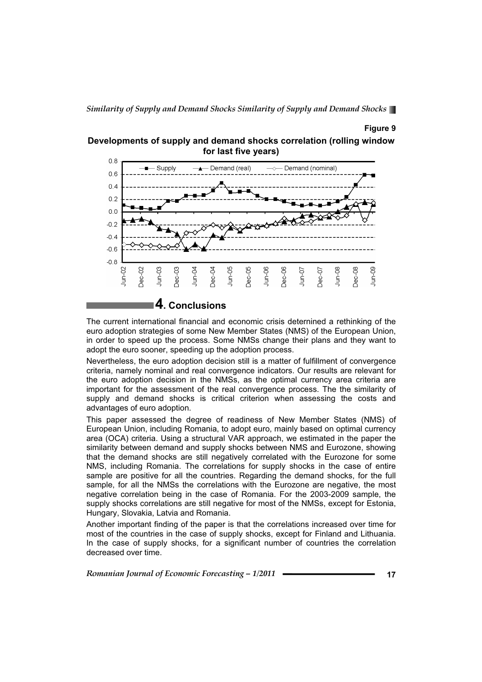### **Figure 9**



**Developments of supply and demand shocks correlation (rolling window for last five years)** 

The current international financial and economic crisis deternined a rethinking of the euro adoption strategies of some New Member States (NMS) of the European Union, in order to speed up the process. Some NMSs change their plans and they want to adopt the euro sooner, speeding up the adoption process.

Nevertheless, the euro adoption decision still is a matter of fulfillment of convergence criteria, namely nominal and real convergence indicators. Our results are relevant for the euro adoption decision in the NMSs, as the optimal currency area criteria are important for the assessment of the real convergence process. The the similarity of supply and demand shocks is critical criterion when assessing the costs and advantages of euro adoption.

This paper assessed the degree of readiness of New Member States (NMS) of European Union, including Romania, to adopt euro, mainly based on optimal currency area (OCA) criteria. Using a structural VAR approach, we estimated in the paper the similarity between demand and supply shocks between NMS and Eurozone, showing that the demand shocks are still negatively correlated with the Eurozone for some NMS, including Romania. The correlations for supply shocks in the case of entire sample are positive for all the countries. Regarding the demand shocks, for the full sample, for all the NMSs the correlations with the Eurozone are negative, the most negative correlation being in the case of Romania. For the 2003-2009 sample, the supply shocks correlations are still negative for most of the NMSs, except for Estonia, Hungary, Slovakia, Latvia and Romania.

Another important finding of the paper is that the correlations increased over time for most of the countries in the case of supply shocks, except for Finland and Lithuania. In the case of supply shocks, for a significant number of countries the correlation decreased over time.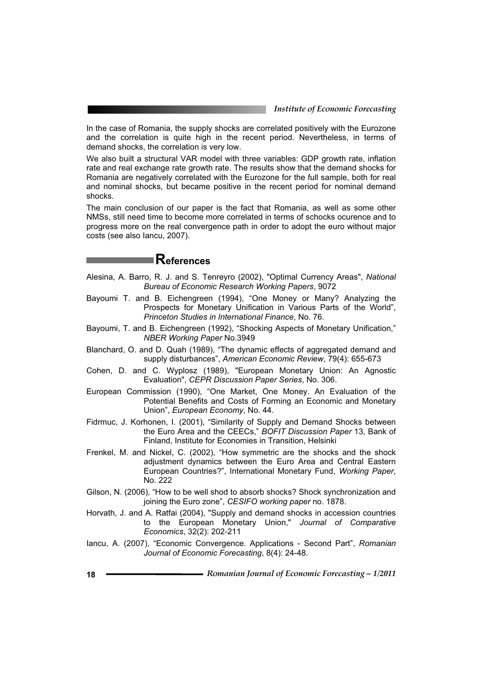In the case of Romania, the supply shocks are correlated positively with the Eurozone and the correlation is quite high in the recent period. Nevertheless, in terms of demand shocks, the correlation is very low.

We also built a structural VAR model with three variables: GDP growth rate, inflation rate and real exchange rate growth rate. The results show that the demand shocks for Romania are negatively correlated with the Eurozone for the full sample, both for real and nominal shocks, but became positive in the recent period for nominal demand shocks.

The main conclusion of our paper is the fact that Romania, as well as some other NMSs, still need time to become more correlated in terms of schocks ocurence and to progress more on the real convergence path in order to adopt the euro without major costs (see also Iancu, 2007).

## **References**

- Alesina, A. Barro, R. J. and S. Tenreyro (2002), "Optimal Currency Areas", *National Bureau of Economic Research Working Papers*, 9072
- Bayoumi T. and B. Eichengreen (1994), "One Money or Many? Analyzing the Prospects for Monetary Unification in Various Parts of the World", *Princeton Studies in International Finance*, No. 76.
- Bayoumi, T. and B. Eichengreen (1992), "Shocking Aspects of Monetary Unification," *NBER Working Paper* No.3949
- Blanchard, O. and D. Quah (1989), "The dynamic effects of aggregated demand and supply disturbances", *American Economic Review*, 79(4): 655-673
- Cohen, D. and C. Wyplosz (1989), "European Monetary Union: An Agnostic Evaluation", *CEPR Discussion Paper Series*, No. 306.
- European Commission (1990), "One Market, One Money. An Evaluation of the Potential Benefits and Costs of Forming an Economic and Monetary Union", *European Economy*, No. 44.
- Fidrmuc, J. Korhonen, I. (2001), "Similarity of Supply and Demand Shocks between the Euro Area and the CEECs," *BOFIT Discussion Paper* 13, Bank of Finland, Institute for Economies in Transition, Helsinki
- Frenkel, M. and Nickel, C. (2002), "How symmetric are the shocks and the shock adjustment dynamics between the Euro Area and Central Eastern European Countries?", International Monetary Fund, *Working Paper*, No. 222
- Gilson, N. (2006), "How to be well shod to absorb shocks? Shock synchronization and joining the Euro zone", *CESIFO working paper* no. 1878.
- Horvath, J. and A. Ratfai (2004), "Supply and demand shocks in accession countries to the European Monetary Union," *Journal of Comparative Economics*, 32(2): 202-211
- Iancu, A. (2007), "Economic Convergence. Applications Second Part", *Romanian Journal of Economic Forecasting*, 8(4): 24-48.
- **18** *Romanian Journal of Economic Forecasting 1/2011*